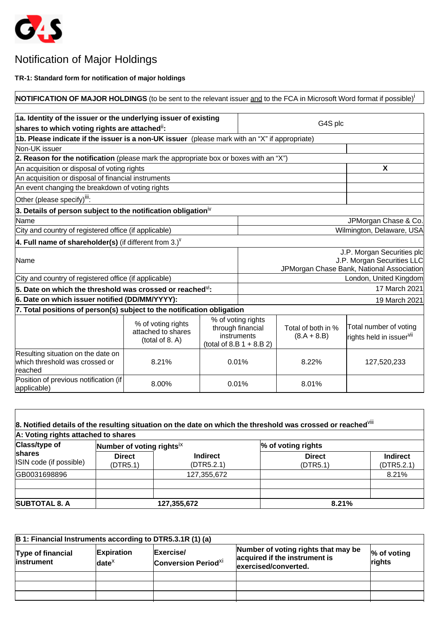

# Notification of Major Holdings

### **TR-1: Standard form for notification of major holdings**

#### **NOTIFICATION OF MAJOR HOLDINGS** (to be sent to the relevant issuer and to the FCA in Microsoft Word format if possible)<sup>1</sup> **1a. Identity of the issuer or the underlying issuer of existing shares to which voting rights are attached**ii**:** G4S plc **1b. Please indicate if the issuer is a non-UK issuer** (please mark with an "X" if appropriate) Non-UK issuer **2. Reason for the notification** (please mark the appropriate box or boxes with an "X") An acquisition or disposal of voting rights **X** An acquisition or disposal of financial instruments An event changing the breakdown of voting rights Other (please specify)iii: **3. Details of person subject to the notification obligation**iv Name JPMorgan Chase & Co. City and country of registered office (if applicable) Network and Country and Country of The Wilmington, Delaware, USA **4. Full name of shareholder(s)** (if different from 3.)<sup> $V$ </sup> Name J.P. Morgan Securities plc J.P. Morgan Securities LLC JPMorgan Chase Bank, National Association City and country of registered office (if applicable) **London**, United Kingdom **5. Date on which the threshold was crossed or reached**vi**:** 17 March 2021 **6. Date on which issuer notified (DD/MM/YYYY):** 19 March 2021 **7. Total positions of person(s) subject to the notification obligation**  % of voting rights attached to shares (total of 8. A) % of voting rights through financial instruments  $(total of 8.B 1 + 8.B 2)$ Total of both in %  $(8.A + 8.B)$ Total number of voting <sup>|</sup>rights held in issuer<sup>vii</sup> Resulting situation on the date on which threshold was crossed or reached 8.21% 0.01% 8.22% 127,520,233 Position of previous notification (if  $\begin{array}{|c|c|c|c|c|c|}\n\hline\n\text{applied} & & 8.00\% & & 0.01\% & & 8.01\% \\
\hline\n\end{array}$

| A: Voting rights attached to shares                       |                                       |                               |                           |                               |
|-----------------------------------------------------------|---------------------------------------|-------------------------------|---------------------------|-------------------------------|
| <b>Class/type of</b><br>shares<br>ISIN code (if possible) | Number of voting rights <sup>1X</sup> |                               | % of voting rights        |                               |
|                                                           | <b>Direct</b><br>(DTR5.1)             | <b>Indirect</b><br>(DTR5.2.1) | <b>Direct</b><br>(DTR5.1) | <b>Indirect</b><br>(DTR5.2.1) |
| GB0031698896                                              |                                       | 127,355,672                   |                           | 8.21%                         |
| <b>SUBTOTAL 8. A</b>                                      |                                       | 127,355,672                   | 8.21%                     |                               |

| B 1: Financial Instruments according to DTR5.3.1R (1) (a) |                                      |                                                     |                                                                                              |                          |
|-----------------------------------------------------------|--------------------------------------|-----------------------------------------------------|----------------------------------------------------------------------------------------------|--------------------------|
| <b>Type of financial</b><br>linstrument                   | Expiration<br>$\mathsf{date}^\times$ | Exercise/<br><b>Conversion Period</b> <sup>Xi</sup> | Number of voting rights that may be<br>acquired if the instrument is<br>exercised/converted. | $\%$ of voting<br>rights |
|                                                           |                                      |                                                     |                                                                                              |                          |
|                                                           |                                      |                                                     |                                                                                              |                          |
|                                                           |                                      |                                                     |                                                                                              |                          |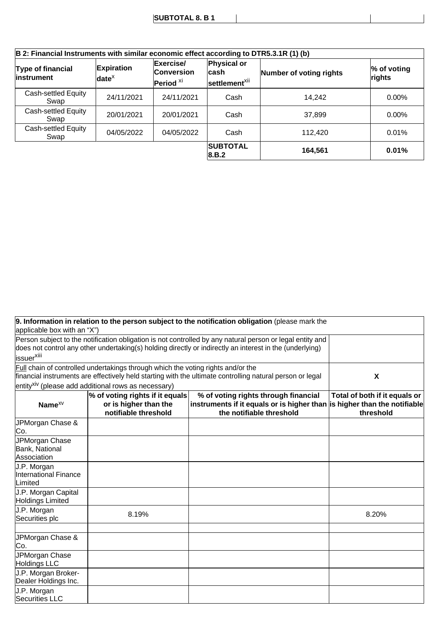| B 2: Financial Instruments with similar economic effect according to DTR5.3.1R (1) (b) |                                            |                                                        |                                                          |                         |                          |
|----------------------------------------------------------------------------------------|--------------------------------------------|--------------------------------------------------------|----------------------------------------------------------|-------------------------|--------------------------|
| Type of financial<br>linstrument                                                       | <b>Expiration</b><br>$ $ date <sup>x</sup> | Exercise/<br><b>Conversion</b><br>Period <sup>xi</sup> | <b>Physical or</b><br>lcash<br>settlement <sup>xii</sup> | Number of voting rights | $\%$ of voting<br>rights |
| Cash-settled Equity<br>Swap                                                            | 24/11/2021                                 | 24/11/2021                                             | Cash                                                     | 14.242                  | $0.00\%$                 |
| Cash-settled Equity<br>Swap                                                            | 20/01/2021                                 | 20/01/2021                                             | Cash                                                     | 37,899                  | $0.00\%$                 |
| Cash-settled Equity<br>Swap                                                            | 04/05/2022                                 | 04/05/2022                                             | Cash                                                     | 112.420                 | 0.01%                    |
|                                                                                        |                                            |                                                        | <b>SUBTOTAL</b><br> 8.B.2                                | 164,561                 | 0.01%                    |

 $\overline{\phantom{a}}$ 

|                                                        |                                                                                         | 9. Information in relation to the person subject to the notification obligation (please mark the                                                                                                                      |                                            |
|--------------------------------------------------------|-----------------------------------------------------------------------------------------|-----------------------------------------------------------------------------------------------------------------------------------------------------------------------------------------------------------------------|--------------------------------------------|
| applicable box with an "X")                            |                                                                                         |                                                                                                                                                                                                                       |                                            |
|                                                        |                                                                                         | Person subject to the notification obligation is not controlled by any natural person or legal entity and<br>does not control any other undertaking(s) holding directly or indirectly an interest in the (underlying) |                                            |
| issuer <sup>xiii</sup>                                 |                                                                                         |                                                                                                                                                                                                                       |                                            |
|                                                        | <b>Full chain of controlled undertakings through which the voting rights and/or the</b> | financial instruments are effectively held starting with the ultimate controlling natural person or legal                                                                                                             | X                                          |
|                                                        | entity <sup>xiv</sup> (please add additional rows as necessary)                         |                                                                                                                                                                                                                       |                                            |
| Name $^{XV}$                                           | % of voting rights if it equals<br>or is higher than the<br>notifiable threshold        | % of voting rights through financial<br>instruments if it equals or is higher than is higher than the notifiable<br>the notifiable threshold                                                                          | Total of both if it equals or<br>threshold |
| JPMorgan Chase &<br>Co.                                |                                                                                         |                                                                                                                                                                                                                       |                                            |
| JPMorgan Chase<br>Bank, National<br>Association        |                                                                                         |                                                                                                                                                                                                                       |                                            |
| J.P. Morgan<br><b>International Finance</b><br>Limited |                                                                                         |                                                                                                                                                                                                                       |                                            |
| J.P. Morgan Capital<br><b>Holdings Limited</b>         |                                                                                         |                                                                                                                                                                                                                       |                                            |
| J.P. Morgan<br>Securities plc                          | 8.19%                                                                                   |                                                                                                                                                                                                                       | 8.20%                                      |
| JPMorgan Chase &<br>Co.                                |                                                                                         |                                                                                                                                                                                                                       |                                            |
| JPMorgan Chase<br><b>Holdings LLC</b>                  |                                                                                         |                                                                                                                                                                                                                       |                                            |
| J.P. Morgan Broker-<br>Dealer Holdings Inc.            |                                                                                         |                                                                                                                                                                                                                       |                                            |
| J.P. Morgan<br><b>Securities LLC</b>                   |                                                                                         |                                                                                                                                                                                                                       |                                            |